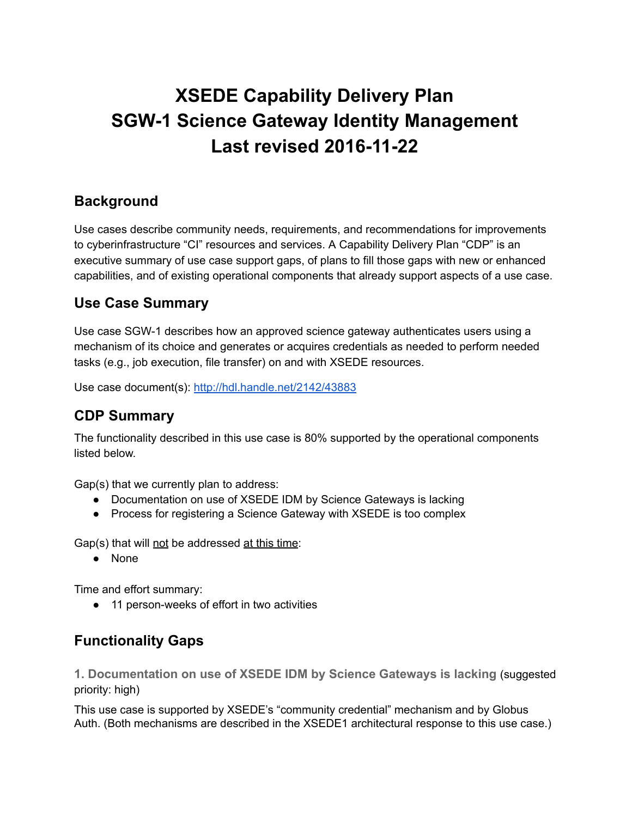# **XSEDE Capability Delivery Plan SGW-1 Science Gateway Identity Management Last revised 2016-11-22**

#### **Background**

Use cases describe community needs, requirements, and recommendations for improvements to cyberinfrastructure "CI" resources and services. A Capability Delivery Plan "CDP" is an executive summary of use case support gaps, of plans to fill those gaps with new or enhanced capabilities, and of existing operational components that already support aspects of a use case.

## **Use Case Summary**

Use case SGW1 describes how an approved science gateway authenticates users using a mechanism of its choice and generates or acquires credentials as needed to perform needed tasks (e.g., job execution, file transfer) on and with XSEDE resources.

Use case document(s): http://hdl.handle.net/2142/43883

### **CDP Summary**

The functionality described in this use case is 80% supported by the operational components listed below.

Gap(s) that we currently plan to address:

- Documentation on use of XSEDE IDM by Science Gateways is lacking
- Process for registering a Science Gateway with XSEDE is too complex

Gap(s) that will not be addressed at this time:

● None

Time and effort summary:

• 11 person-weeks of effort in two activities

### **Functionality Gaps**

**1. Documentation on use of XSEDE IDM by Science Gateways is lacking** (suggested priority: high)

This use case is supported by XSEDE's "community credential" mechanism and by Globus Auth. (Both mechanisms are described in the XSEDE1 architectural response to this use case.)